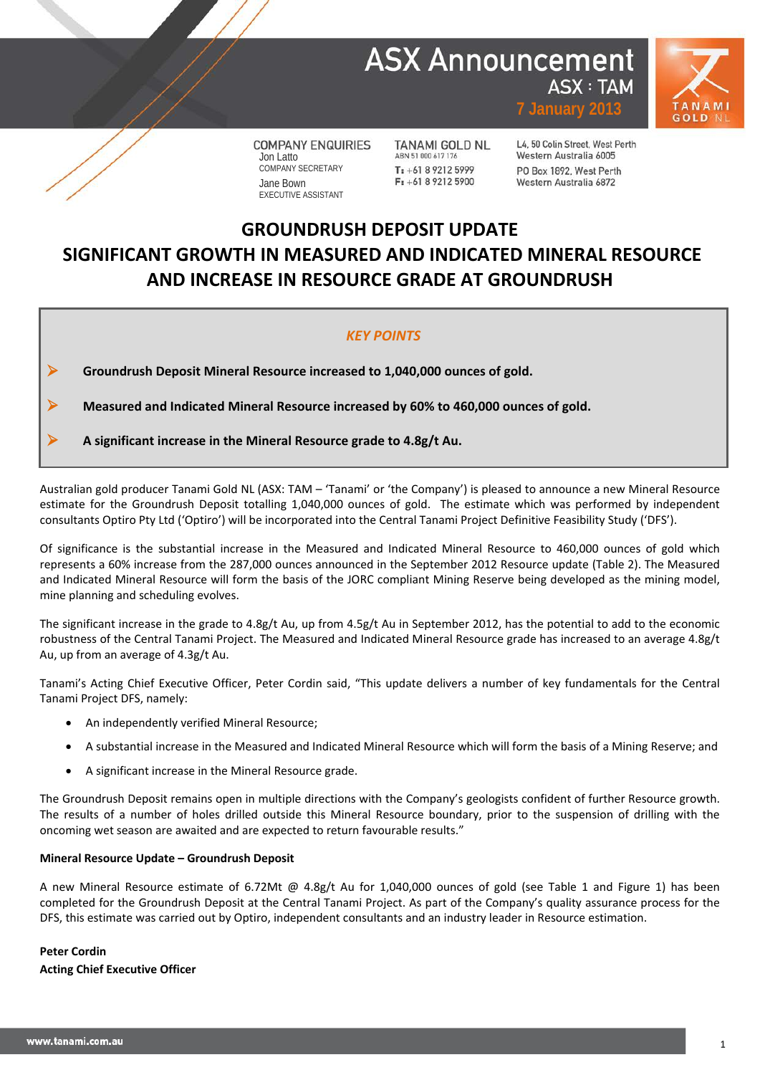## **ASX Announcement ASX: TAM**



**COMPANY ENQUIRIES** Jon Latto COMPANY SECRETARY Jane Bown EXECUTIVE ASSISTANT

**TANAMI GOLD NL** ABN 51 000 617 176 T: +61 8 9212 5999  $F: +61892125900$ 

L4, 50 Colin Street, West Perth Western Australia 6005 PO Box 1892 West Perth Western Australia 6872

**7 January 2013**

## **GROUNDRUSH DEPOSIT UPDATE SIGNIFICANT GROWTH IN MEASURED AND INDICATED MINERAL RESOURCE AND INCREASE IN RESOURCE GRADE AT GROUNDRUSH**

### *KEY POINTS*

**Groundrush Deposit Mineral Resource increased to 1,040,000 ounces of gold.**

**Measured and Indicated Mineral Resource increased by 60% to 460,000 ounces of gold.**

**A significant increase in the Mineral Resource grade to 4.8g/t Au.**

Australian gold producer Tanami Gold NL (ASX: TAM – 'Tanami' or 'the Company') is pleased to announce a new Mineral Resource estimate for the Groundrush Deposit totalling 1,040,000 ounces of gold. The estimate which was performed by independent consultants Optiro Pty Ltd ('Optiro') will be incorporated into the Central Tanami Project Definitive Feasibility Study ('DFS').

Of significance is the substantial increase in the Measured and Indicated Mineral Resource to 460,000 ounces of gold which represents a 60% increase from the 287,000 ounces announced in the September 2012 Resource update (Table 2). The Measured and Indicated Mineral Resource will form the basis of the JORC compliant Mining Reserve being developed as the mining model, mine planning and scheduling evolves.

The significant increase in the grade to 4.8g/t Au, up from 4.5g/t Au in September 2012, has the potential to add to the economic robustness of the Central Tanami Project. The Measured and Indicated Mineral Resource grade has increased to an average 4.8g/t Au, up from an average of 4.3g/t Au.

Tanami's Acting Chief Executive Officer, Peter Cordin said, "This update delivers a number of key fundamentals for the Central Tanami Project DFS, namely:

- An independently verified Mineral Resource;
- A substantial increase in the Measured and Indicated Mineral Resource which will form the basis of a Mining Reserve; and
- A significant increase in the Mineral Resource grade.

The Groundrush Deposit remains open in multiple directions with the Company's geologists confident of further Resource growth. The results of a number of holes drilled outside this Mineral Resource boundary, prior to the suspension of drilling with the oncoming wet season are awaited and are expected to return favourable results."

### **Mineral Resource Update – Groundrush Deposit**

A new Mineral Resource estimate of 6.72Mt @ 4.8g/t Au for 1,040,000 ounces of gold (see Table 1 and Figure 1) has been completed for the Groundrush Deposit at the Central Tanami Project. As part of the Company's quality assurance process for the DFS, this estimate was carried out by Optiro, independent consultants and an industry leader in Resource estimation.

**Peter Cordin Acting Chief Executive Officer**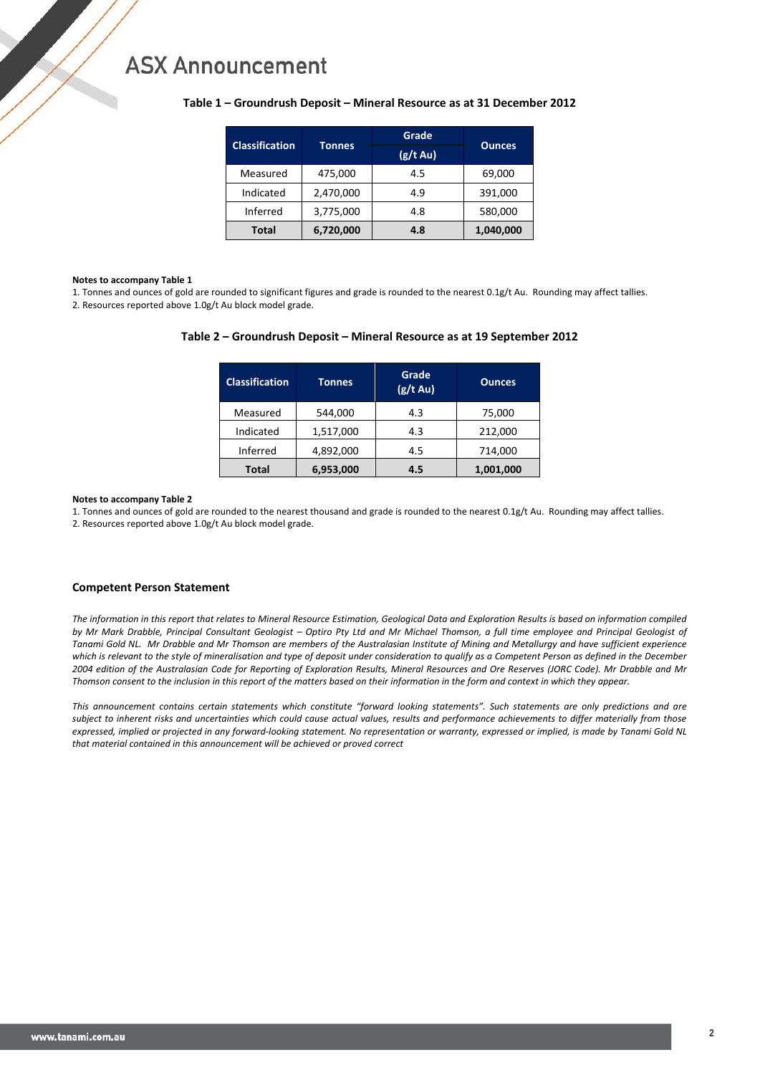## **ASX Announcement**

|                       |               | Grade         | <b>Ounces</b> |  |  |
|-----------------------|---------------|---------------|---------------|--|--|
| <b>Classification</b> | <b>Tonnes</b> | $(g/t \, Au)$ |               |  |  |
| Measured              | 475,000       | 4.5           | 69,000        |  |  |
| Indicated             | 2,470,000     | 4.9           | 391,000       |  |  |
| Inferred              | 3,775,000     | 4.8           | 580,000       |  |  |
| <b>Total</b>          | 6,720,000     | 4.8           | 1,040,000     |  |  |

### **Table 1 – Groundrush Deposit – Mineral Resource as at 31 December 2012**

#### **Notes to accompany Table 1**

1. Tonnes and ounces of gold are rounded to significant figures and grade is rounded to the nearest 0.1g/t Au. Rounding may affect tallies.

2. Resources reported above 1.0g/t Au block model grade.

#### **Table 2 – Groundrush Deposit – Mineral Resource as at 19 September 2012**

| <b>Classification</b> | <b>Tonnes</b> | Grade<br>$(g/t \text{ Au})$ | <b>Ounces</b> |  |  |  |
|-----------------------|---------------|-----------------------------|---------------|--|--|--|
| Measured              | 544,000       | 4.3                         | 75,000        |  |  |  |
| Indicated             | 1,517,000     | 4.3                         | 212,000       |  |  |  |
| Inferred              | 4,892,000     | 4.5                         | 714,000       |  |  |  |
| Total                 | 6,953,000     | 4.5                         | 1,001,000     |  |  |  |

#### **Notes to accompany Table 2**

1. Tonnes and ounces of gold are rounded to the nearest thousand and grade is rounded to the nearest 0.1g/t Au. Rounding may affect tallies.

2. Resources reported above 1.0g/t Au block model grade.

#### **Competent Person Statement**

*The information in this report that relates to Mineral Resource Estimation, Geological Data and Exploration Results is based on information compiled by Mr Mark Drabble, Principal Consultant Geologist – Optiro Pty Ltd and Mr Michael Thomson, a full time employee and Principal Geologist of Tanami Gold NL. Mr Drabble and Mr Thomson are members of the Australasian Institute of Mining and Metallurgy and have sufficient experience*  which is relevant to the style of mineralisation and type of deposit under consideration to qualify as a Competent Person as defined in the December *2004 edition of the Australasian Code for Reporting of Exploration Results, Mineral Resources and Ore Reserves (JORC Code). Mr Drabble and Mr Thomson consent to the inclusion in this report of the matters based on their information in the form and context in which they appear.*

*This announcement contains certain statements which constitute "forward looking statements". Such statements are only predictions and are subject to inherent risks and uncertainties which could cause actual values, results and performance achievements to differ materially from those expressed, implied or projected in any forward-looking statement. No representation or warranty, expressed or implied, is made by Tanami Gold NL that material contained in this announcement will be achieved or proved correct*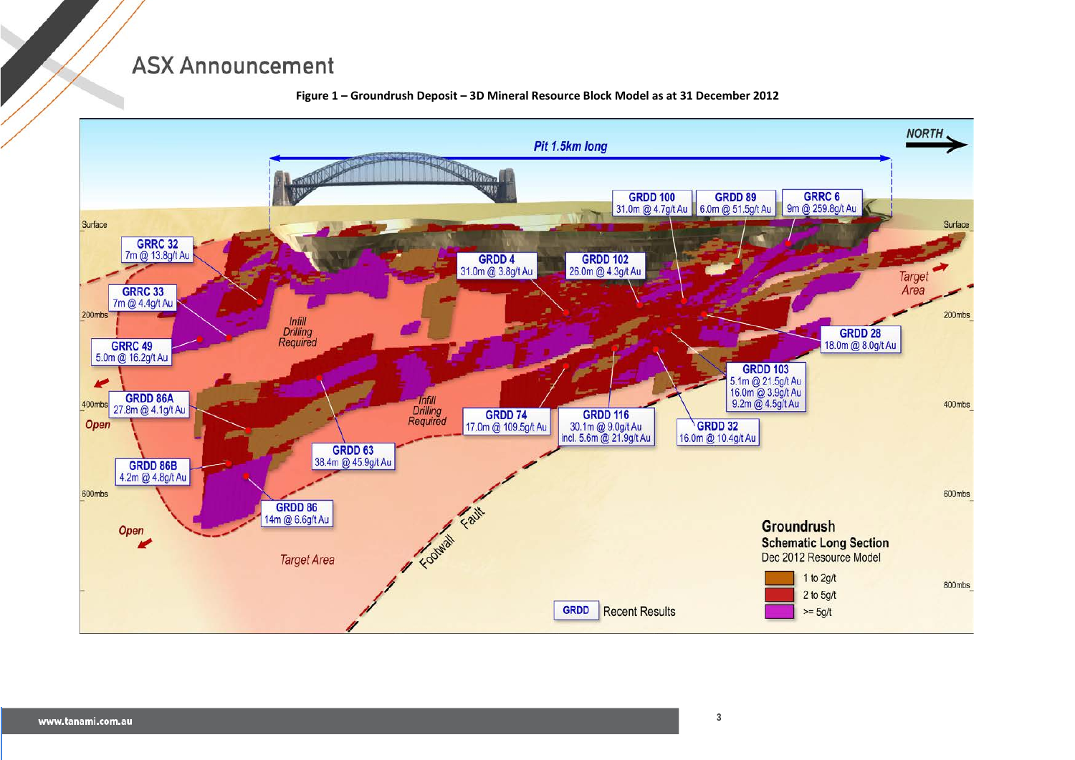## **ASX Announcement**



**Figure 1 – Groundrush Deposit – 3D Mineral Resource Block Model as at 31 December 2012**